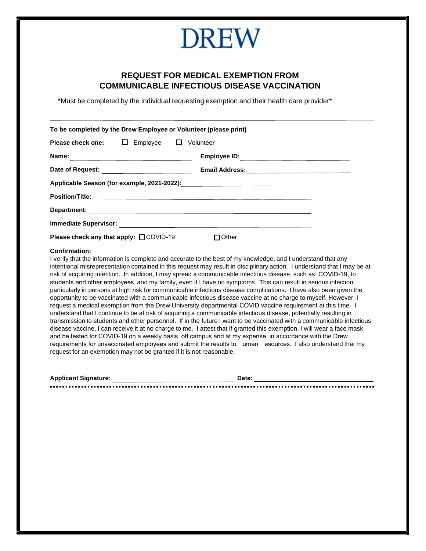# **DREW**

## **REQUEST FOR MEDICAL EXEMPTION FROM COMMUNICABLE INFECTIOUS DISEASE VACCINATION**

\*Must be completed by the individual requesting exemption and their health care provider\*

| To be completed by the Drew Employee or Volunteer (please print) |                                                               |                                                                    |  |
|------------------------------------------------------------------|---------------------------------------------------------------|--------------------------------------------------------------------|--|
| Please check one: $\Box$                                         | $Employee$ $\square$                                          | Volunteer                                                          |  |
| Name:                                                            | <u> 1989 - Johann Barn, fransk politik fotograf (d. 1989)</u> | Employee ID: _________________________                             |  |
|                                                                  |                                                               |                                                                    |  |
|                                                                  |                                                               |                                                                    |  |
| <b>Position/Title:</b>                                           |                                                               | <u> 1989 - Andrea Station Barbara, amerikan personal (h. 1989)</u> |  |
|                                                                  |                                                               |                                                                    |  |
| <b>Immediate Supervisor:</b>                                     |                                                               |                                                                    |  |
| <b>Please check any that apply: <math>\Box</math> COVID-19</b>   |                                                               | $\blacksquare$ Other                                               |  |

#### **Confirmation:**

I verify that the information is complete and accurate to the best of my knowledge, and I understand that any intentional misrepresentation contained in this request may result in disciplinary action. I understand that I may be at risk of acquiring infection. In addition, I may spread a communicable infectious disease, such as COVID-19, to students and other employees, and my family, even if I have no symptoms. This can result in serious infection, particularly in persons at high risk for communicable infectious disease complications. I have also been given the opportunity to be vaccinated with a communicable infectious disease vaccine at no charge to myself. However, I request a medical exemption from the Drew University departmental COVID vaccine requirement at this time. I understand that I continue to be at risk of acquiring a communicable infectious disease, potentially resulting in transmission to students and other personnel. If in the future I want to be vaccinated with a communicable infectious disease vaccine, I can receive it at no charge to me. I attest that if granted this exemption, I will wear a face mask and be tested for COVID-19 on a weekly basis off campus and at my expense in accordance with the Drew requirements for unvaccinated employees and submit the results to uman esources. I also understand that my request for an exemption may not be granted if it is not reasonable.

| <b>Applicant Signature:</b> |  |  |
|-----------------------------|--|--|
|                             |  |  |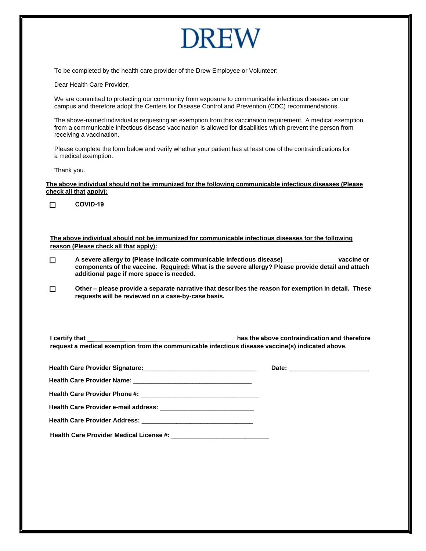# **DREW**

To be completed by the health care provider of the Drew Employee or Volunteer:

Dear Health Care Provider,

We are committed to protecting our community from exposure to communicable infectious diseases on our campus and therefore adopt the Centers for Disease Control and Prevention (CDC) recommendations.

The above-named individual is requesting an exemption from this vaccination requirement. A medical exemption from a communicable infectious disease vaccination is allowed for disabilities which prevent the person from receiving a vaccination.

Please complete the form below and verify whether your patient has at least one of the contraindications for a medical exemption.

Thank you.

**The above individual should not be immunized for the following communicable infectious diseases (Please check all that apply):**

**COVID-19**  $\Box$ 

**The above individual should not be immunized for communicable infectious diseases for the following reason (Please check all that apply):**

- **A severe allergy to (Please indicate communicable infectious disease) \_\_\_\_\_\_\_\_\_\_\_\_\_\_\_ vaccine or**   $\Box$ **components of the vaccine. Required: What is the severe allergy? Please provide detail and attach additional page if more space is needed.**
- $\Box$ **Other – please provide a separate narrative that describes the reason for exemption in detail. These requests will be reviewed on a case-by-case basis.**

| I certify that                                                                                   | has the above contraindication and therefore |
|--------------------------------------------------------------------------------------------------|----------------------------------------------|
| request a medical exemption from the communicable infectious disease vaccine(s) indicated above. |                                              |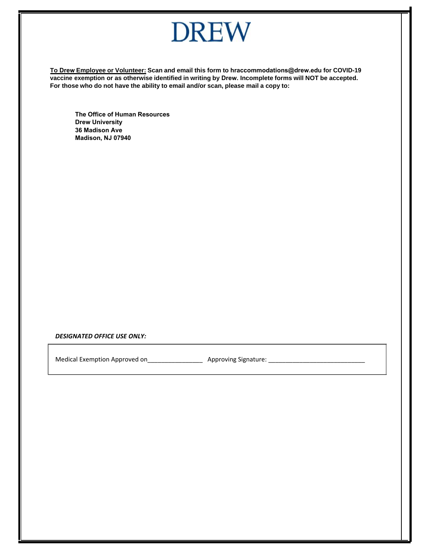

**To Drew Employee or Volunteer: Scan and email this form to [hraccommodations@drew.edu](mailto:FluMedicalExemption@rbhs.rutgers.edu) for COVID-19 vaccine exemption or as otherwise identified in writing by Drew. Incomplete forms will NOT be accepted. For those who do not have the ability to email and/or scan, please mail a copy to:**

**The Office of Human Resources Drew University 36 Madison Ave Madison, NJ 07940** 

*DESIGNATED OFFICE USE ONLY:*

Medical Exemption Approved on\_\_\_\_\_\_\_\_\_\_\_\_\_\_\_\_ Approving Signature: \_\_\_\_\_\_\_\_\_\_\_\_\_\_\_\_\_\_\_\_\_\_\_\_\_\_\_\_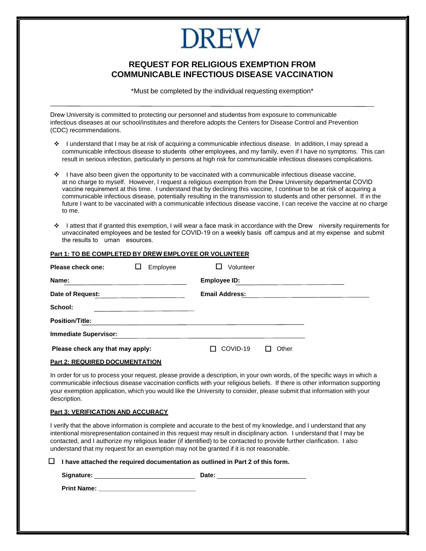# DREW

## **REQUEST FOR RELIGIOUS EXEMPTION FROM COMMUNICABLE INFECTIOUS DISEASE VACCINATION**

\*Must be completed by the individual requesting exemption\*

Drew University is committed to protecting our personnel and studentss from exposure to communicable infectious diseases at our school/institutes and therefore adopts the Centers for Disease Control and Prevention (CDC) recommendations.

- ❖ I understand that I may be at risk of acquiring a communicable infectious disease. In addition, I may spread a communicable infectious disease to students other employees, and my family, even if I have no symptoms. This can result in serious infection, particularly in persons at high risk for communicable infectious diseases complications.
- ❖ I have also been given the opportunity to be vaccinated with a communicable infectious disease vaccine, at no charge to myself. However, I request a religious exemption from the Drew University departmental COVID vaccine requirement at this time. I understand that by declining this vaccine, I continue to be at risk of acquiring a communicable infectious disease, potentially resulting in the transmission to students and other personnel. If in the future I want to be vaccinated with a communicable infectious disease vaccine, I can receive the vaccine at no charge to me.
- I attest that if granted this exemption, I will wear a face mask in accordance with the Drew niversity requirements for unvaccinated employees and be tested for COVID-19 on a weekly basis off campus and at my expense and submit the results to uman esources.

#### **Part 1: TO BE COMPLETED BY DREW EMPLOYEE OR VOLUNTEER**

| Please check one:<br>Employee    |  | Volunteer |  |                     |                       |       |  |  |
|----------------------------------|--|-----------|--|---------------------|-----------------------|-------|--|--|
| Name:                            |  |           |  | <b>Employee ID:</b> |                       |       |  |  |
| Date of Request:                 |  |           |  |                     | <b>Email Address:</b> |       |  |  |
| School:                          |  |           |  |                     |                       |       |  |  |
| <b>Position/Title:</b>           |  |           |  |                     |                       |       |  |  |
| <b>Immediate Supervisor:</b>     |  |           |  |                     |                       |       |  |  |
| Please check any that may apply: |  |           |  |                     | COVID-19              | Other |  |  |

### **Part 2: REQUIRED DOCUMENTATION**

In order for us to process your request, please provide a description, in your own words, of the specific ways in which a communicable infectious disease vaccination conflicts with your religious beliefs. If there is other information supporting your exemption application, which you would like the University to consider, please submit that information with your description.

#### **Part 3: VERIFICATION AND ACCURACY**

I verify that the above information is complete and accurate to the best of my knowledge, and I understand that any intentional misrepresentation contained in this request may result in disciplinary action. I understand that I may be contacted, and I authorize my religious leader (if identified) to be contacted to provide further clarification. I also understand that my request for an exemption may not be granted if it is not reasonable.

**I have attached the required documentation as outlined in Part 2 of this form.**

Signature: Date: Date:

**Print Name: \_\_\_\_\_\_\_\_\_\_\_\_\_\_\_\_\_\_\_\_\_\_\_\_\_\_\_\_**